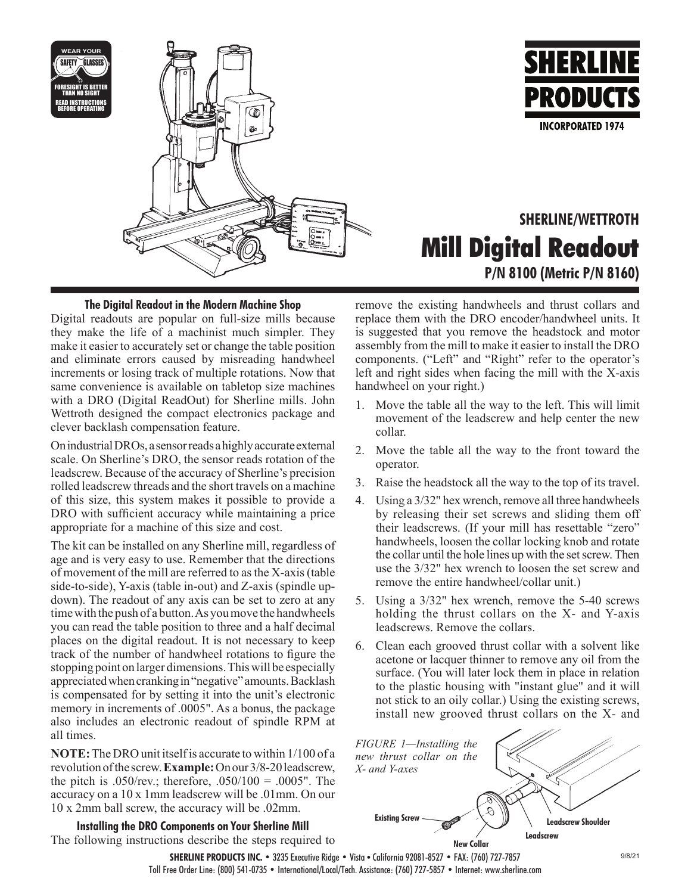



# **SHERLINE/WETTROTH Mill Digital Readout P/N 8100 (Metric P/N 8160)**

# **The Digital Readout in the Modern Machine Shop**

Digital readouts are popular on full-size mills because they make the life of a machinist much simpler. They make it easier to accurately set or change the table position and eliminate errors caused by misreading handwheel increments or losing track of multiple rotations. Now that same convenience is available on tabletop size machines with a DRO (Digital ReadOut) for Sherline mills. John Wettroth designed the compact electronics package and clever backlash compensation feature.

On industrial DROs, a sensor reads a highly accurate external scale. On Sherline's DRO, the sensor reads rotation of the leadscrew. Because of the accuracy of Sherline's precision rolled leadscrew threads and the short travels on a machine of this size, this system makes it possible to provide a DRO with sufficient accuracy while maintaining a price appropriate for a machine of this size and cost.

The kit can be installed on any Sherline mill, regardless of age and is very easy to use. Remember that the directions of movement of the mill are referred to as the X-axis (table side-to-side), Y-axis (table in-out) and Z-axis (spindle updown). The readout of any axis can be set to zero at any time with the push of a button. As you move the handwheels you can read the table position to three and a half decimal places on the digital readout. It is not necessary to keep track of the number of handwheel rotations to figure the stopping point on larger dimensions. This will be especially appreciated when cranking in "negative" amounts. Backlash is compensated for by setting it into the unit's electronic memory in increments of .0005". As a bonus, the package also includes an electronic readout of spindle RPM at all times.

**NOTE:** The DRO unit itself is accurate to within 1/100 of a revolution of the screw. **Example:** On our 3/8-20 leadscrew, the pitch is .050/rev.; therefore, .050/100 = .0005". The accuracy on a 10 x 1mm leadscrew will be .01mm. On our 10 x 2mm ball screw, the accuracy will be .02mm.

**Installing the DRO Components on Your Sherline Mill** The following instructions describe the steps required to remove the existing handwheels and thrust collars and replace them with the DRO encoder/handwheel units. It is suggested that you remove the headstock and motor assembly from the mill to make it easier to install the DRO components. ("Left" and "Right" refer to the operator's left and right sides when facing the mill with the X-axis handwheel on your right.)

- 1. Move the table all the way to the left. This will limit movement of the leadscrew and help center the new collar.
- 2. Move the table all the way to the front toward the operator.
- 3. Raise the headstock all the way to the top of its travel.
- 4. Using a 3/32" hex wrench, remove all three handwheels by releasing their set screws and sliding them off their leadscrews. (If your mill has resettable "zero" handwheels, loosen the collar locking knob and rotate the collar until the hole lines up with the set screw. Then use the 3/32" hex wrench to loosen the set screw and remove the entire handwheel/collar unit.)
- 5. Using a 3/32" hex wrench, remove the 5-40 screws holding the thrust collars on the X- and Y-axis leadscrews. Remove the collars.
- 6. Clean each grooved thrust collar with a solvent like acetone or lacquer thinner to remove any oil from the surface. (You will later lock them in place in relation to the plastic housing with "instant glue" and it will not stick to an oily collar.) Using the existing screws, install new grooved thrust collars on the X- and



**SHERLINE PRODUCTS INC. •** 3235 Executive Ridge **•** Vista • California 92081-8527 **•** FAX: (760) 727-7857 Toll Free Order Line: (800) 541-0735 **•** International/Local/Tech. Assistance: (760) 727-5857 **•** Internet: www.sherline.com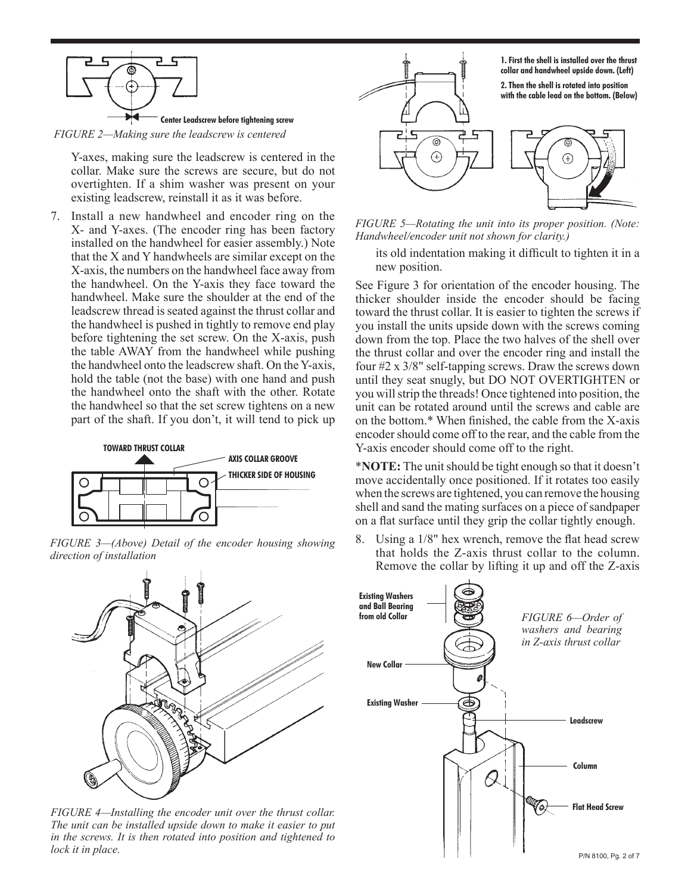

*FIGURE 2—Making sure the leadscrew is centered*

Y-axes, making sure the leadscrew is centered in the collar. Make sure the screws are secure, but do not overtighten. If a shim washer was present on your existing leadscrew, reinstall it as it was before.

7. Install a new handwheel and encoder ring on the X- and Y-axes. (The encoder ring has been factory installed on the handwheel for easier assembly.) Note that the X and Y handwheels are similar except on the X-axis, the numbers on the handwheel face away from the handwheel. On the Y-axis they face toward the handwheel. Make sure the shoulder at the end of the leadscrew thread is seated against the thrust collar and the handwheel is pushed in tightly to remove end play before tightening the set screw. On the X-axis, push the table AWAY from the handwheel while pushing the handwheel onto the leadscrew shaft. On the Y-axis, hold the table (not the base) with one hand and push the handwheel onto the shaft with the other. Rotate the handwheel so that the set screw tightens on a new part of the shaft. If you don't, it will tend to pick up



*FIGURE 3—(Above) Detail of the encoder housing showing direction of installation*



*FIGURE 4—Installing the encoder unit over the thrust collar. The unit can be installed upside down to make it easier to put in the screws. It is then rotated into position and tightened to lock it in place.*



*FIGURE 5—Rotating the unit into its proper position. (Note: Handwheel/encoder unit not shown for clarity.)*

its old indentation making it difficult to tighten it in a new position.

See Figure 3 for orientation of the encoder housing. The thicker shoulder inside the encoder should be facing toward the thrust collar. It is easier to tighten the screws if you install the units upside down with the screws coming down from the top. Place the two halves of the shell over the thrust collar and over the encoder ring and install the four #2 x 3/8" self-tapping screws. Draw the screws down until they seat snugly, but DO NOT OVERTIGHTEN or you will strip the threads! Once tightened into position, the unit can be rotated around until the screws and cable are on the bottom.\* When finished, the cable from the X-axis encoder should come off to the rear, and the cable from the Y-axis encoder should come off to the right.

\***NOTE:** The unit should be tight enough so that it doesn't move accidentally once positioned. If it rotates too easily when the screws are tightened, you can remove the housing shell and sand the mating surfaces on a piece of sandpaper on a flat surface until they grip the collar tightly enough.

8. Using a 1/8" hex wrench, remove the flat head screw that holds the Z-axis thrust collar to the column. Remove the collar by lifting it up and off the Z-axis

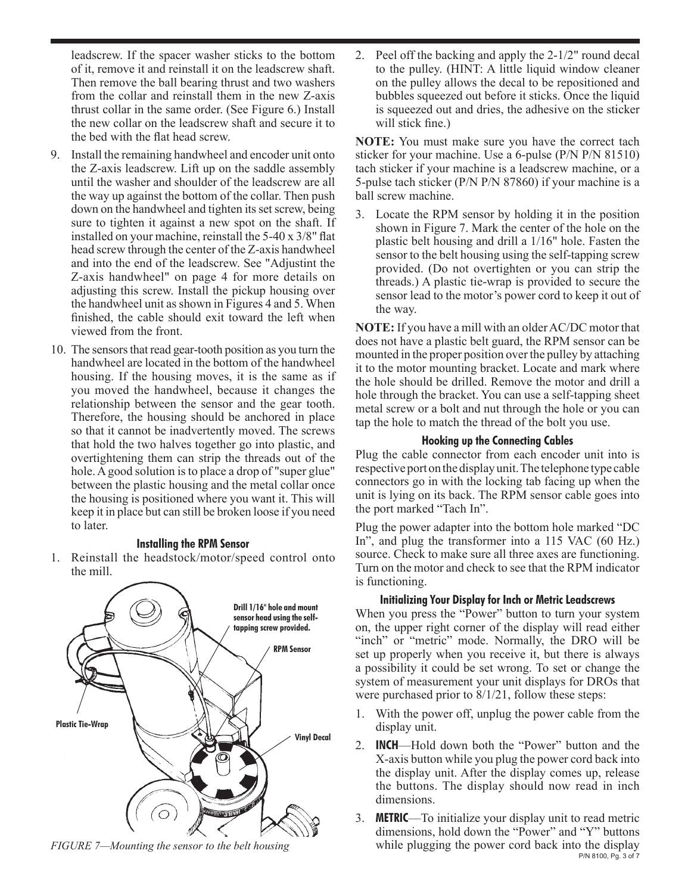leadscrew. If the spacer washer sticks to the bottom of it, remove it and reinstall it on the leadscrew shaft. Then remove the ball bearing thrust and two washers from the collar and reinstall them in the new Z-axis thrust collar in the same order. (See Figure 6.) Install the new collar on the leadscrew shaft and secure it to the bed with the flat head screw.

- 9. Install the remaining handwheel and encoder unit onto the Z-axis leadscrew. Lift up on the saddle assembly until the washer and shoulder of the leadscrew are all the way up against the bottom of the collar. Then push down on the handwheel and tighten its set screw, being sure to tighten it against a new spot on the shaft. If installed on your machine, reinstall the 5-40 x 3/8" flat head screw through the center of the Z-axis handwheel and into the end of the leadscrew. See "Adjustint the Z-axis handwheel" on page 4 for more details on adjusting this screw. Install the pickup housing over the handwheel unit as shown in Figures 4 and 5. When finished, the cable should exit toward the left when viewed from the front.
- 10. The sensors that read gear-tooth position as you turn the handwheel are located in the bottom of the handwheel housing. If the housing moves, it is the same as if you moved the handwheel, because it changes the relationship between the sensor and the gear tooth. Therefore, the housing should be anchored in place so that it cannot be inadvertently moved. The screws that hold the two halves together go into plastic, and overtightening them can strip the threads out of the hole. A good solution is to place a drop of "super glue" between the plastic housing and the metal collar once the housing is positioned where you want it. This will keep it in place but can still be broken loose if you need to later.

### **Installing the RPM Sensor**

1. Reinstall the headstock/motor/speed control onto the mill.



*FIGURE 7—Mounting the sensor to the belt housing*

2. Peel off the backing and apply the 2-1/2" round decal to the pulley. (HINT: A little liquid window cleaner on the pulley allows the decal to be repositioned and bubbles squeezed out before it sticks. Once the liquid is squeezed out and dries, the adhesive on the sticker will stick fine.)

**NOTE:** You must make sure you have the correct tach sticker for your machine. Use a 6-pulse (P/N P/N 81510) tach sticker if your machine is a leadscrew machine, or a 5-pulse tach sticker (P/N P/N 87860) if your machine is a ball screw machine.

3. Locate the RPM sensor by holding it in the position shown in Figure 7. Mark the center of the hole on the plastic belt housing and drill a 1/16" hole. Fasten the sensor to the belt housing using the self-tapping screw provided. (Do not overtighten or you can strip the threads.) A plastic tie-wrap is provided to secure the sensor lead to the motor's power cord to keep it out of the way.

**NOTE:** If you have a mill with an older AC/DC motor that does not have a plastic belt guard, the RPM sensor can be mounted in the proper position over the pulley by attaching it to the motor mounting bracket. Locate and mark where the hole should be drilled. Remove the motor and drill a hole through the bracket. You can use a self-tapping sheet metal screw or a bolt and nut through the hole or you can tap the hole to match the thread of the bolt you use.

#### **Hooking up the Connecting Cables**

Plug the cable connector from each encoder unit into is respective port on the display unit. The telephone type cable connectors go in with the locking tab facing up when the unit is lying on its back. The RPM sensor cable goes into the port marked "Tach In".

Plug the power adapter into the bottom hole marked "DC In", and plug the transformer into a 115 VAC (60 Hz.) source. Check to make sure all three axes are functioning. Turn on the motor and check to see that the RPM indicator is functioning.

#### **Initializing Your Display for Inch or Metric Leadscrews**

When you press the "Power" button to turn your system on, the upper right corner of the display will read either "inch" or "metric" mode. Normally, the DRO will be set up properly when you receive it, but there is always a possibility it could be set wrong. To set or change the system of measurement your unit displays for DROs that were purchased prior to 8/1/21, follow these steps:

- 1. With the power off, unplug the power cable from the display unit.
- 2. **INCH**—Hold down both the "Power" button and the X-axis button while you plug the power cord back into the display unit. After the display comes up, release the buttons. The display should now read in inch dimensions.
- P/N 8100, Pg. 3 of 7 3. **METRIC**—To initialize your display unit to read metric dimensions, hold down the "Power" and "Y" buttons while plugging the power cord back into the display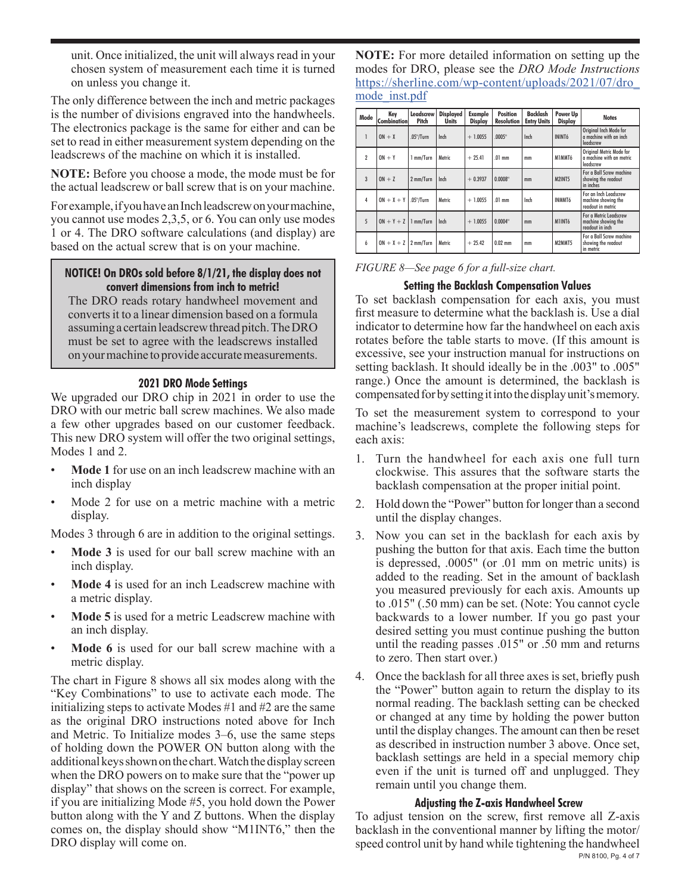unit. Once initialized, the unit will always read in your chosen system of measurement each time it is turned on unless you change it.

The only difference between the inch and metric packages is the number of divisions engraved into the handwheels. The electronics package is the same for either and can be set to read in either measurement system depending on the leadscrews of the machine on which it is installed.

**NOTE:** Before you choose a mode, the mode must be for the actual leadscrew or ball screw that is on your machine.

For example, if you have an Inch leadscrew on your machine, you cannot use modes 2,3,5, or 6. You can only use modes 1 or 4. The DRO software calculations (and display) are based on the actual screw that is on your machine.

## **NOTICE! On DROs sold before 8/1/21, the display does not convert dimensions from inch to metric!**

The DRO reads rotary handwheel movement and converts it to a linear dimension based on a formula assuming a certain leadscrew thread pitch.The DRO must be set to agree with the leadscrews installed on your machine to provide accurate measurements.

# **2021 DRO Mode Settings**

We upgraded our DRO chip in 2021 in order to use the DRO with our metric ball screw machines. We also made a few other upgrades based on our customer feedback. This new DRO system will offer the two original settings, Modes 1 and 2.

- **Mode 1** for use on an inch leadscrew machine with an inch display
- Mode 2 for use on a metric machine with a metric display.

Modes 3 through 6 are in addition to the original settings.

- **Mode 3** is used for our ball screw machine with an inch display.
- Mode 4 is used for an inch Leadscrew machine with a metric display.
- **Mode 5** is used for a metric Leadscrew machine with an inch display.
- **Mode 6** is used for our ball screw machine with a metric display.

The chart in Figure 8 shows all six modes along with the "Key Combinations" to use to activate each mode. The initializing steps to activate Modes #1 and #2 are the same as the original DRO instructions noted above for Inch and Metric. To Initialize modes 3–6, use the same steps of holding down the POWER ON button along with the additional keys shown on the chart. Watch the display screen when the DRO powers on to make sure that the "power up display" that shows on the screen is correct. For example, if you are initializing Mode #5, you hold down the Power button along with the Y and Z buttons. When the display comes on, the display should show "M1INT6," then the DRO display will come on.

**NOTE:** For more detailed information on setting up the modes for DRO, please see the *DRO Mode Instructions* [https://sherline.com/wp-content/uploads/2021/07/dro\\_](https://sherline.com/wp-content/uploads/2021/07/dro_mode_inst.pdf) [mode\\_inst.pdf](https://sherline.com/wp-content/uploads/2021/07/dro_mode_inst.pdf)

| Mode                | Kev<br><b>Combination</b>   | Leadscrew<br>Pitch | <b>Displayed</b><br><b>Units</b> | Example<br>Display | <b>Position</b><br><b>Resolution</b> | Backlash<br><b>Entry Units</b> | Power Up<br>Display | <b>Notes</b>                                                      |
|---------------------|-----------------------------|--------------------|----------------------------------|--------------------|--------------------------------------|--------------------------------|---------------------|-------------------------------------------------------------------|
| 1                   | $ON + X$                    | $.05"$ /Turn       | Inch                             | $+1.0055$          | .0005"                               | Inch                           | ININT6              | Original Inch Mode for<br>a machine with an inch<br>leadscrew     |
| $\boldsymbol{\eta}$ | $ON + Y$                    | 1 mm/Turn          | Metric                           | $+ 25.41$          | $.01$ mm                             | mm                             | M1MMT6              | Original Metric Mode for<br>a machine with an metric<br>leadscrew |
| $\overline{3}$      | $ON + Z$                    | 2 mm/Turn          | Inch                             | $+0.3937$          | 0.0008"                              | mm                             | <b>M2INT5</b>       | For a Ball Screw machine<br>showing the readout<br>in inches      |
| 4                   | $ON + X + Y$ .05"/Turn      |                    | Metric                           | $+1.0055$          | $.01$ mm                             | Inch                           | INMMT6              | For an Inch Leadscrew<br>machine showing the<br>readout in metric |
| 5                   | $ON + Y + Z \mid 1$ mm/Turn |                    | Inch                             | $+1.0055$          | 0.0004"                              | mm                             | M1INT6              | For a Metric Leadscrew<br>machine showing the<br>readout in inch  |
| 6                   | $ON + X + Z$ 2 mm/Turn      |                    | Metric                           | $+ 25.42$          | $0.02$ mm                            | mm                             | M2MMT5              | For a Ball Screw machine<br>showing the readout<br>in metric      |

*FIGURE 8—See page 6 for a full-size chart.*

# **Setting the Backlash Compensation Values**

To set backlash compensation for each axis, you must first measure to determine what the backlash is. Use a dial indicator to determine how far the handwheel on each axis rotates before the table starts to move. (If this amount is excessive, see your instruction manual for instructions on setting backlash. It should ideally be in the .003" to .005" range.) Once the amount is determined, the backlash is compensated for by setting it into the display unit's memory.

To set the measurement system to correspond to your machine's leadscrews, complete the following steps for each axis:

- 1. Turn the handwheel for each axis one full turn clockwise. This assures that the software starts the backlash compensation at the proper initial point.
- 2. Hold down the "Power" button for longer than a second until the display changes.
- 3. Now you can set in the backlash for each axis by pushing the button for that axis. Each time the button is depressed, .0005" (or .01 mm on metric units) is added to the reading. Set in the amount of backlash you measured previously for each axis. Amounts up to .015" (.50 mm) can be set. (Note: You cannot cycle backwards to a lower number. If you go past your desired setting you must continue pushing the button until the reading passes .015" or .50 mm and returns to zero. Then start over.)
- 4. Once the backlash for all three axes is set, briefly push the "Power" button again to return the display to its normal reading. The backlash setting can be checked or changed at any time by holding the power button until the display changes. The amount can then be reset as described in instruction number 3 above. Once set, backlash settings are held in a special memory chip even if the unit is turned off and unplugged. They remain until you change them.

## **Adjusting the Z-axis Handwheel Screw**

P/N 8100, Pg. 4 of 7 To adjust tension on the screw, first remove all Z-axis backlash in the conventional manner by lifting the motor/ speed control unit by hand while tightening the handwheel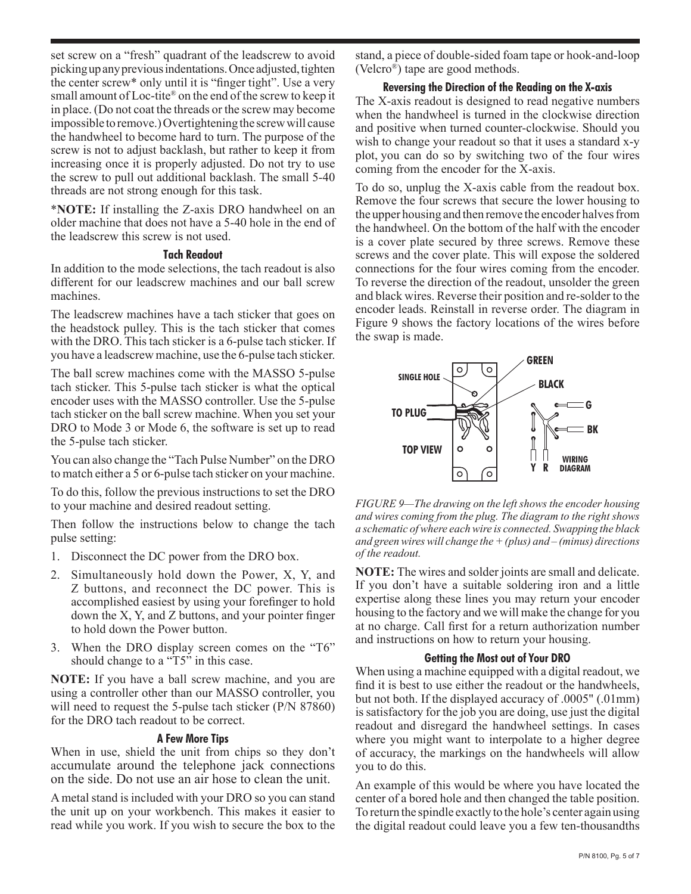set screw on a "fresh" quadrant of the leadscrew to avoid picking up any previous indentations. Once adjusted, tighten the center screw\* only until it is "finger tight". Use a very small amount of Loc-tite® on the end of the screw to keep it in place. (Do not coat the threads or the screw may become impossible to remove.) Overtightening the screw will cause the handwheel to become hard to turn. The purpose of the screw is not to adjust backlash, but rather to keep it from increasing once it is properly adjusted. Do not try to use the screw to pull out additional backlash. The small 5-40 threads are not strong enough for this task.

\***NOTE:** If installing the Z-axis DRO handwheel on an older machine that does not have a 5-40 hole in the end of the leadscrew this screw is not used.

### **Tach Readout**

In addition to the mode selections, the tach readout is also different for our leadscrew machines and our ball screw machines.

The leadscrew machines have a tach sticker that goes on the headstock pulley. This is the tach sticker that comes with the DRO. This tach sticker is a 6-pulse tach sticker. If you have a leadscrew machine, use the 6-pulse tach sticker.

The ball screw machines come with the MASSO 5-pulse tach sticker. This 5-pulse tach sticker is what the optical encoder uses with the MASSO controller. Use the 5-pulse tach sticker on the ball screw machine. When you set your DRO to Mode 3 or Mode 6, the software is set up to read the 5-pulse tach sticker.

You can also change the "Tach Pulse Number" on the DRO to match either a 5 or 6-pulse tach sticker on your machine.

To do this, follow the previous instructions to set the DRO to your machine and desired readout setting.

Then follow the instructions below to change the tach pulse setting:

- 1. Disconnect the DC power from the DRO box.
- 2. Simultaneously hold down the Power, X, Y, and Z buttons, and reconnect the DC power. This is accomplished easiest by using your forefinger to hold down the X, Y, and Z buttons, and your pointer finger to hold down the Power button.
- 3. When the DRO display screen comes on the "T6" should change to a "T5" in this case.

**NOTE:** If you have a ball screw machine, and you are using a controller other than our MASSO controller, you will need to request the 5-pulse tach sticker (P/N 87860) for the DRO tach readout to be correct.

### **A Few More Tips**

When in use, shield the unit from chips so they don't accumulate around the telephone jack connections on the side. Do not use an air hose to clean the unit.

A metal stand is included with your DRO so you can stand the unit up on your workbench. This makes it easier to read while you work. If you wish to secure the box to the stand, a piece of double-sided foam tape or hook-and-loop (Velcro®) tape are good methods.

### **Reversing the Direction of the Reading on the X-axis**

The X-axis readout is designed to read negative numbers when the handwheel is turned in the clockwise direction and positive when turned counter-clockwise. Should you wish to change your readout so that it uses a standard x-y plot, you can do so by switching two of the four wires coming from the encoder for the X-axis.

To do so, unplug the X-axis cable from the readout box. Remove the four screws that secure the lower housing to the upper housing and then remove the encoder halves from the handwheel. On the bottom of the half with the encoder is a cover plate secured by three screws. Remove these screws and the cover plate. This will expose the soldered connections for the four wires coming from the encoder. To reverse the direction of the readout, unsolder the green and black wires. Reverse their position and re-solder to the encoder leads. Reinstall in reverse order. The diagram in Figure 9 shows the factory locations of the wires before the swap is made.



*FIGURE 9—The drawing on the left shows the encoder housing and wires coming from the plug. The diagram to the right shows a schematic of where each wire is connected. Swapping the black and green wires will change the + (plus) and – (minus) directions of the readout.*

**NOTE:** The wires and solder joints are small and delicate. If you don't have a suitable soldering iron and a little expertise along these lines you may return your encoder housing to the factory and we will make the change for you at no charge. Call first for a return authorization number and instructions on how to return your housing.

### **Getting the Most out of Your DRO**

When using a machine equipped with a digital readout, we find it is best to use either the readout or the handwheels, but not both. If the displayed accuracy of .0005" (.01mm) is satisfactory for the job you are doing, use just the digital readout and disregard the handwheel settings. In cases where you might want to interpolate to a higher degree of accuracy, the markings on the handwheels will allow you to do this.

An example of this would be where you have located the center of a bored hole and then changed the table position. To return the spindle exactly to the hole's center again using the digital readout could leave you a few ten-thousandths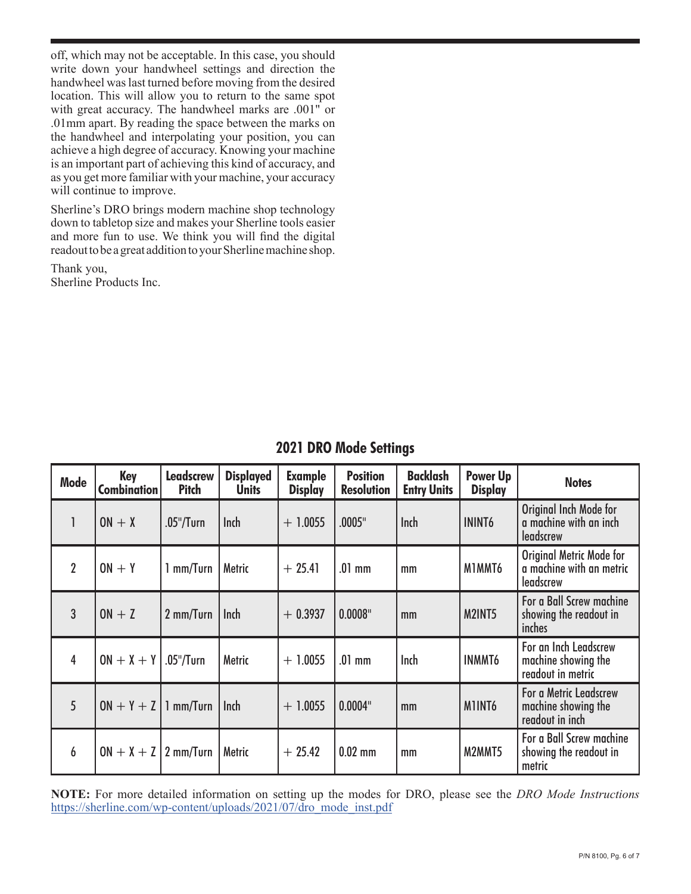off, which may not be acceptable. In this case, you should write down your handwheel settings and direction the handwheel was last turned before moving from the desired location. This will allow you to return to the same spot with great accuracy. The handwheel marks are .001" or .01mm apart. By reading the space between the marks on the handwheel and interpolating your position, you can achieve a high degree of accuracy. Knowing your machine is an important part of achieving this kind of accuracy, and as you get more familiar with your machine, your accuracy will continue to improve.

Sherline's DRO brings modern machine shop technology down to tabletop size and makes your Sherline tools easier and more fun to use. We think you will find the digital readout to be a great addition to your Sherline machine shop.

Thank you, Sherline Products Inc.

| Mode           | Key<br>Combination       | <b>Leadscrew</b><br><b>Pitch</b> | <b>Displayed</b><br><b>Units</b> | <b>Example</b><br><b>Display</b> | <b>Position</b><br><b>Resolution</b> | <b>Backlash</b><br><b>Entry Units</b> | Power Up<br><b>Display</b> | <b>Notes</b>                                                      |
|----------------|--------------------------|----------------------------------|----------------------------------|----------------------------------|--------------------------------------|---------------------------------------|----------------------------|-------------------------------------------------------------------|
| 1              | $ON + X$                 | .05"/Turn                        | Inch                             | $+ 1.0055$                       | .0005"                               | <b>Inch</b>                           | <b>ININT6</b>              | Original Inch Mode for<br>a machine with an inch<br>leadscrew     |
| $\overline{2}$ | $ON + Y$                 | 1 mm/Turn                        | Metric                           | $+25.41$                         | $.01$ mm                             | mm                                    | M1MMT6                     | Original Metric Mode for<br>a machine with an metric<br>leadscrew |
| 3              | $ON + Z$                 | 2 mm/Turn                        | Inch                             | $+0.3937$                        | 0.0008"                              | mm                                    | M2INT5                     | For a Ball Screw machine<br>showing the readout in<br>inches      |
| 4              | $ON + X + Y$ .05"/Turn   |                                  | Metric                           | $+ 1.0055$                       | $.01$ mm                             | Inch                                  | <b>INMMT6</b>              | For an Inch Leadscrew<br>machine showing the<br>readout in metric |
| 5              | $ON + Y + Z$   1 mm/Turn |                                  | Inch                             | $+ 1.0055$                       | 0.0004"                              | mm                                    | MINT <sub>6</sub>          | For a Metric Leadscrew<br>machine showing the<br>readout in inch  |
| 6              | $ON + X + Z$ 2 mm/Turn   |                                  | Metric                           | $+25.42$                         | $0.02$ mm                            | mm                                    | M2MMT5                     | For a Ball Screw machine<br>showing the readout in<br>metric      |

# **2021 DRO Mode Settings**

**NOTE:** For more detailed information on setting up the modes for DRO, please see the *DRO Mode Instructions* [https://sherline.com/wp-content/uploads/2021/07/dro\\_mode\\_inst.pdf](https://sherline.com/wp-content/uploads/2021/07/dro_mode_inst.pdf)